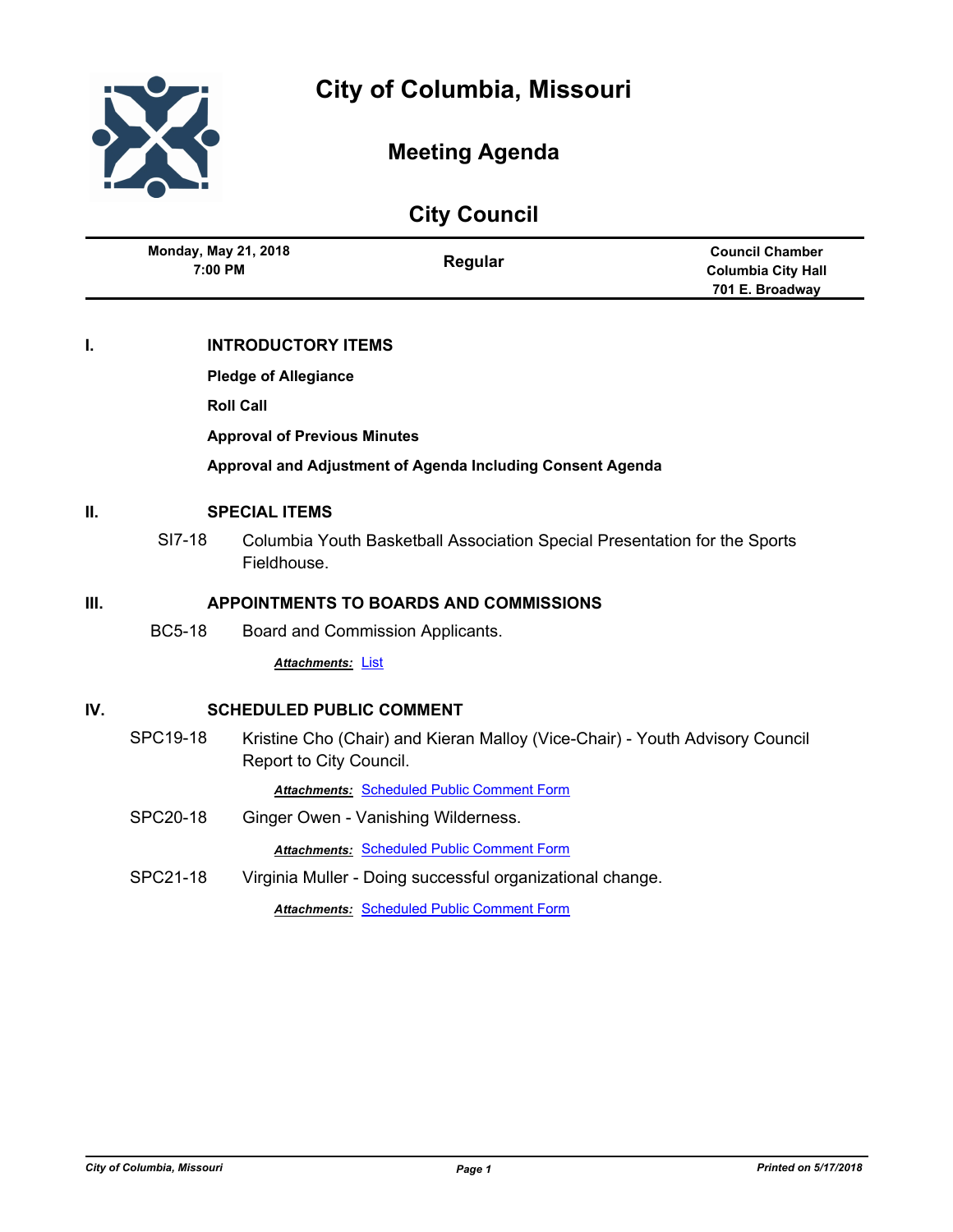



# **Meeting Agenda**

|  |  | <b>City Council</b> |
|--|--|---------------------|
|--|--|---------------------|

|    | <b>Monday, May 21, 2018</b><br>7:00 PM        |             | Regular                                                                   | <b>Council Chamber</b><br><b>Columbia City Hall</b><br>701 E. Broadway |  |
|----|-----------------------------------------------|-------------|---------------------------------------------------------------------------|------------------------------------------------------------------------|--|
| I. | <b>INTRODUCTORY ITEMS</b>                     |             |                                                                           |                                                                        |  |
|    | <b>Pledge of Allegiance</b>                   |             |                                                                           |                                                                        |  |
|    | <b>Roll Call</b>                              |             |                                                                           |                                                                        |  |
|    | <b>Approval of Previous Minutes</b>           |             |                                                                           |                                                                        |  |
|    |                                               |             | Approval and Adjustment of Agenda Including Consent Agenda                |                                                                        |  |
| П. | <b>SPECIAL ITEMS</b>                          |             |                                                                           |                                                                        |  |
|    | SI7-18                                        | Fieldhouse. | Columbia Youth Basketball Association Special Presentation for the Sports |                                                                        |  |
| Ш. | <b>APPOINTMENTS TO BOARDS AND COMMISSIONS</b> |             |                                                                           |                                                                        |  |

BC5-18 Board and Commission Applicants.

*Attachments:* [List](http://gocolumbiamo.legistar.com/gateway.aspx?M=F&ID=7912c2cf-2c09-41c2-9e77-8f77e9c78c91.docx)

## **IV. SCHEDULED PUBLIC COMMENT**

SPC19-18 Kristine Cho (Chair) and Kieran Malloy (Vice-Chair) - Youth Advisory Council Report to City Council.

*Attachments:* [Scheduled Public Comment Form](http://gocolumbiamo.legistar.com/gateway.aspx?M=F&ID=e6efa175-709e-4b71-93b2-de040a4b83b3.pdf)

SPC20-18 Ginger Owen - Vanishing Wilderness.

*Attachments:* [Scheduled Public Comment Form](http://gocolumbiamo.legistar.com/gateway.aspx?M=F&ID=611721cb-b9f9-42ff-a625-e0831e6b8057.pdf)

SPC21-18 Virginia Muller - Doing successful organizational change.

*Attachments:* [Scheduled Public Comment Form](http://gocolumbiamo.legistar.com/gateway.aspx?M=F&ID=bd5ec6b7-0799-42dd-9bb0-7357f2485c39.pdf)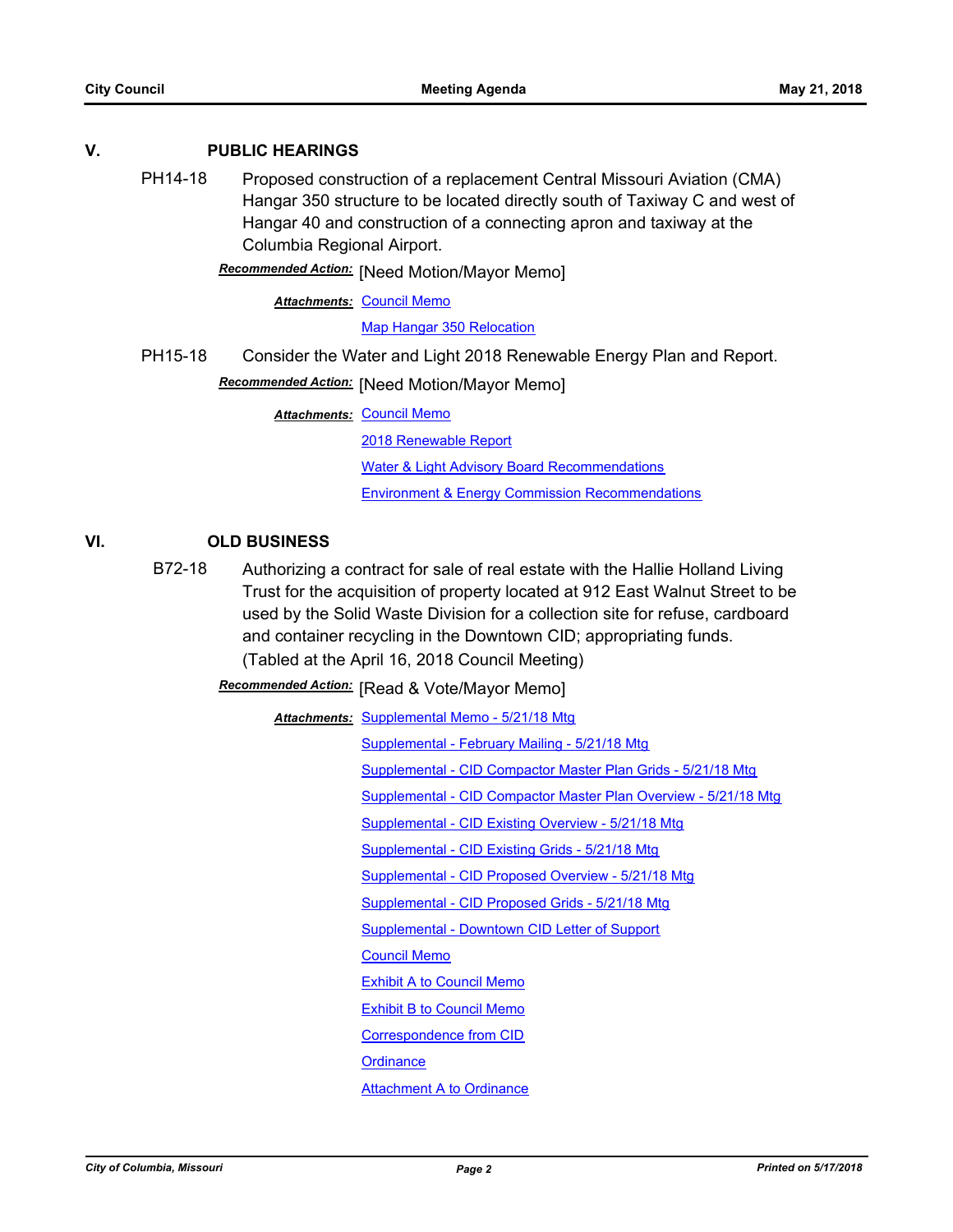## **V. PUBLIC HEARINGS**

PH14-18 Proposed construction of a replacement Central Missouri Aviation (CMA) Hangar 350 structure to be located directly south of Taxiway C and west of Hangar 40 and construction of a connecting apron and taxiway at the Columbia Regional Airport.

**Recommended Action:** [Need Motion/Mayor Memo]

**Attachments: [Council Memo](http://gocolumbiamo.legistar.com/gateway.aspx?M=F&ID=a3ba0277-c8e2-445c-a4ba-80b363bc5dc2.docx)** 

[Map Hangar 350 Relocation](http://gocolumbiamo.legistar.com/gateway.aspx?M=F&ID=2fc7f2d4-3e0e-4a2f-af2b-3d5c61127a8b.pdf)

PH15-18 Consider the Water and Light 2018 Renewable Energy Plan and Report.

**Recommended Action: [Need Motion/Mayor Memo]** 

**Attachments: [Council Memo](http://gocolumbiamo.legistar.com/gateway.aspx?M=F&ID=a0520e36-bdc0-4962-bb66-b9c18f6d1ec2.docx)** 

[2018 Renewable Report](http://gocolumbiamo.legistar.com/gateway.aspx?M=F&ID=77b95b96-1754-45c3-bafb-fa3016ef8998.pdf) [Water & Light Advisory Board Recommendations](http://gocolumbiamo.legistar.com/gateway.aspx?M=F&ID=845f38fa-13a6-438a-8e0a-e60c873308dd.pdf)

[Environment & Energy Commission Recommendations](http://gocolumbiamo.legistar.com/gateway.aspx?M=F&ID=a31d93b5-f334-42b0-8de1-057b9d2aea46.pdf)

# **VI. OLD BUSINESS**

B72-18 Authorizing a contract for sale of real estate with the Hallie Holland Living Trust for the acquisition of property located at 912 East Walnut Street to be used by the Solid Waste Division for a collection site for refuse, cardboard and container recycling in the Downtown CID; appropriating funds. (Tabled at the April 16, 2018 Council Meeting)

**Recommended Action:** [Read & Vote/Mayor Memo]

**Attachments: [Supplemental Memo - 5/21/18 Mtg](http://gocolumbiamo.legistar.com/gateway.aspx?M=F&ID=2c72c939-cb75-4933-ad8e-2ab96090c6e4.pdf)** 

[Supplemental - February Mailing - 5/21/18 Mtg](http://gocolumbiamo.legistar.com/gateway.aspx?M=F&ID=df6e356c-60e9-4698-b654-41725eeba6b1.pdf) [Supplemental - CID Compactor Master Plan Grids - 5/21/18 Mtg](http://gocolumbiamo.legistar.com/gateway.aspx?M=F&ID=e6057367-786e-4bad-a6b0-f28f395a402d.pdf) [Supplemental - CID Compactor Master Plan Overview - 5/21/18 Mtg](http://gocolumbiamo.legistar.com/gateway.aspx?M=F&ID=54ed7e82-0330-47e9-992a-58bac1e16a9e.pdf) [Supplemental - CID Existing Overview - 5/21/18 Mtg](http://gocolumbiamo.legistar.com/gateway.aspx?M=F&ID=e62a14a7-cc11-4073-a321-fb32bed0a9f9.pdf) [Supplemental - CID Existing Grids - 5/21/18 Mtg](http://gocolumbiamo.legistar.com/gateway.aspx?M=F&ID=ffd135c7-15a7-4e9e-82d9-e49a4a920496.pdf) [Supplemental - CID Proposed Overview - 5/21/18 Mtg](http://gocolumbiamo.legistar.com/gateway.aspx?M=F&ID=64edba36-bb1c-466a-b6d6-c407b3c9f020.pdf) [Supplemental - CID Proposed Grids - 5/21/18 Mtg](http://gocolumbiamo.legistar.com/gateway.aspx?M=F&ID=bd7d59c9-6c34-46e0-9a51-23f5a23f2a6e.pdf) [Supplemental - Downtown CID Letter of Support](http://gocolumbiamo.legistar.com/gateway.aspx?M=F&ID=3e2e13a5-0d95-4614-a44d-d8cadc2feb4b.pdf) [Council Memo](http://gocolumbiamo.legistar.com/gateway.aspx?M=F&ID=e0663c6c-ade1-4ebd-a886-a1b2a8abf328.docx) [Exhibit A to Council Memo](http://gocolumbiamo.legistar.com/gateway.aspx?M=F&ID=c245c6e1-19a3-4e37-af82-aa8d9110d8e6.pdf) [Exhibit B to Council Memo](http://gocolumbiamo.legistar.com/gateway.aspx?M=F&ID=d9895a23-2d8e-44d3-a30d-76b7b26d776c.pdf) [Correspondence from CID](http://gocolumbiamo.legistar.com/gateway.aspx?M=F&ID=37a3294f-32aa-4b6a-818b-7228c63402c6.pdf) **[Ordinance](http://gocolumbiamo.legistar.com/gateway.aspx?M=F&ID=5e0860aa-436a-43bb-a5e1-0394081769e8.doc)** [Attachment A to Ordinance](http://gocolumbiamo.legistar.com/gateway.aspx?M=F&ID=82f4883a-ee74-4599-9e65-93e73db37a1c.pdf)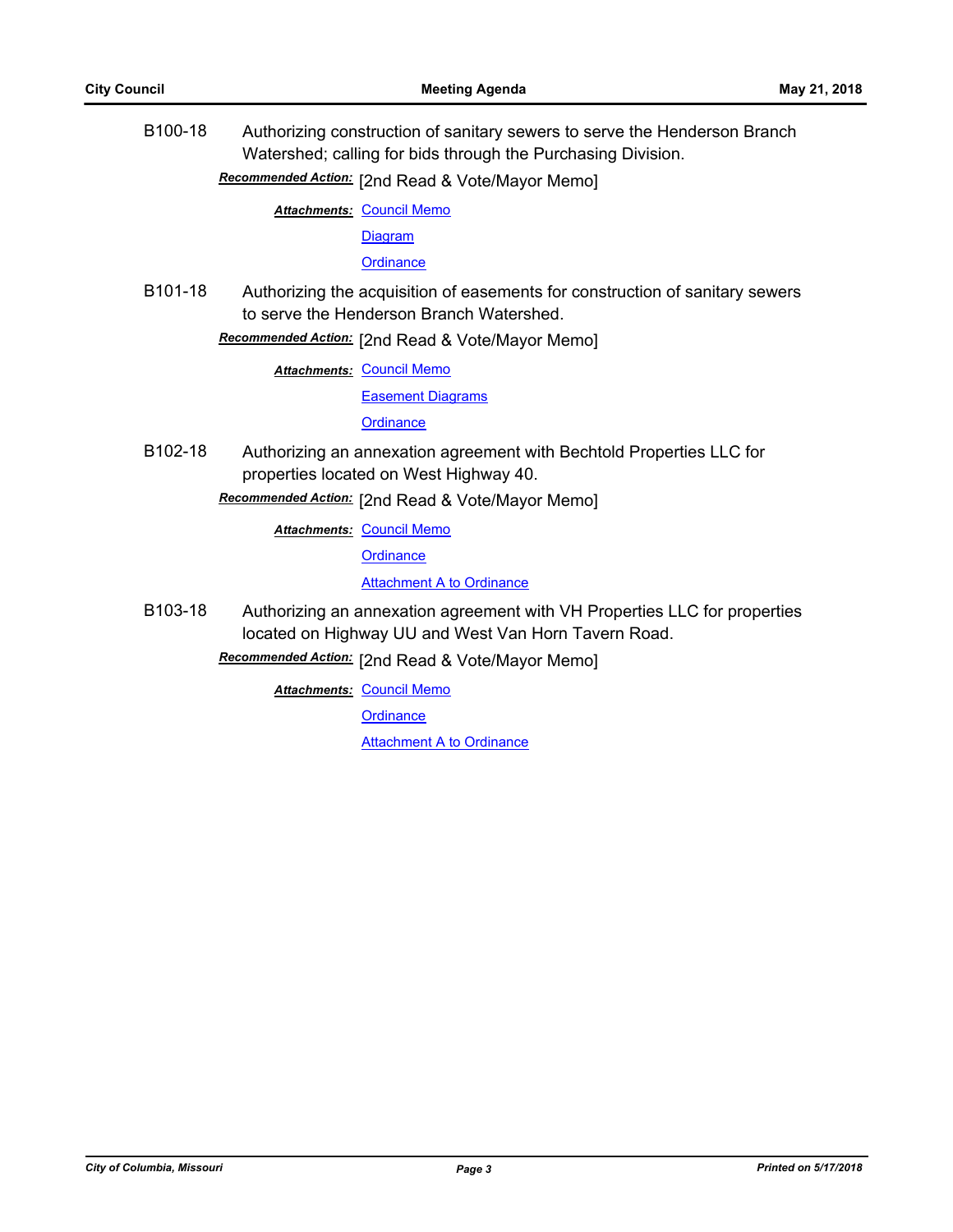B100-18 Authorizing construction of sanitary sewers to serve the Henderson Branch Watershed; calling for bids through the Purchasing Division.

[2nd Read & Vote/Mayor Memo] *Recommended Action:*

**Attachments: [Council Memo](http://gocolumbiamo.legistar.com/gateway.aspx?M=F&ID=0d55a871-b670-41e8-948d-8b44c85f3212.docx)** 

[Diagram](http://gocolumbiamo.legistar.com/gateway.aspx?M=F&ID=880fd502-f8f3-4818-b9be-53c3511612a2.pdf)

**[Ordinance](http://gocolumbiamo.legistar.com/gateway.aspx?M=F&ID=0d266b75-4b4d-436a-9bd1-abe03812fbcc.doc)** 

B101-18 Authorizing the acquisition of easements for construction of sanitary sewers to serve the Henderson Branch Watershed.

**Recommended Action:** [2nd Read & Vote/Mayor Memo]

**Attachments: [Council Memo](http://gocolumbiamo.legistar.com/gateway.aspx?M=F&ID=53fef4c3-309f-4f4f-af1b-80eea4a4de4f.docx)** 

[Easement Diagrams](http://gocolumbiamo.legistar.com/gateway.aspx?M=F&ID=38d736f6-3933-4c81-ae50-44c4dc7126f6.pdf)

**[Ordinance](http://gocolumbiamo.legistar.com/gateway.aspx?M=F&ID=49e1fd8f-9b46-4a47-b482-e4003dbf724f.doc)** 

B102-18 Authorizing an annexation agreement with Bechtold Properties LLC for properties located on West Highway 40.

Recommended Action: [2nd Read & Vote/Mayor Memo]

**Attachments: [Council Memo](http://gocolumbiamo.legistar.com/gateway.aspx?M=F&ID=02f958d8-e285-4d4e-8298-fb831987b058.docx)** 

**[Ordinance](http://gocolumbiamo.legistar.com/gateway.aspx?M=F&ID=87db20df-ea71-4d5f-b619-0d3a84de4252.doc)** 

**[Attachment A to Ordinance](http://gocolumbiamo.legistar.com/gateway.aspx?M=F&ID=5a815fea-0ad9-4e86-8a67-845b395d61d2.pdf)** 

B103-18 Authorizing an annexation agreement with VH Properties LLC for properties located on Highway UU and West Van Horn Tavern Road.

**Recommended Action:** [2nd Read & Vote/Mayor Memo]

**Attachments: [Council Memo](http://gocolumbiamo.legistar.com/gateway.aspx?M=F&ID=f5a40154-4494-46da-9f23-f697f37f8620.docx)** 

**[Ordinance](http://gocolumbiamo.legistar.com/gateway.aspx?M=F&ID=9aa1c050-863b-4153-8473-a44c89336c57.doc)** 

[Attachment A to Ordinance](http://gocolumbiamo.legistar.com/gateway.aspx?M=F&ID=694af683-1a34-4104-b353-d5fbef74d068.pdf)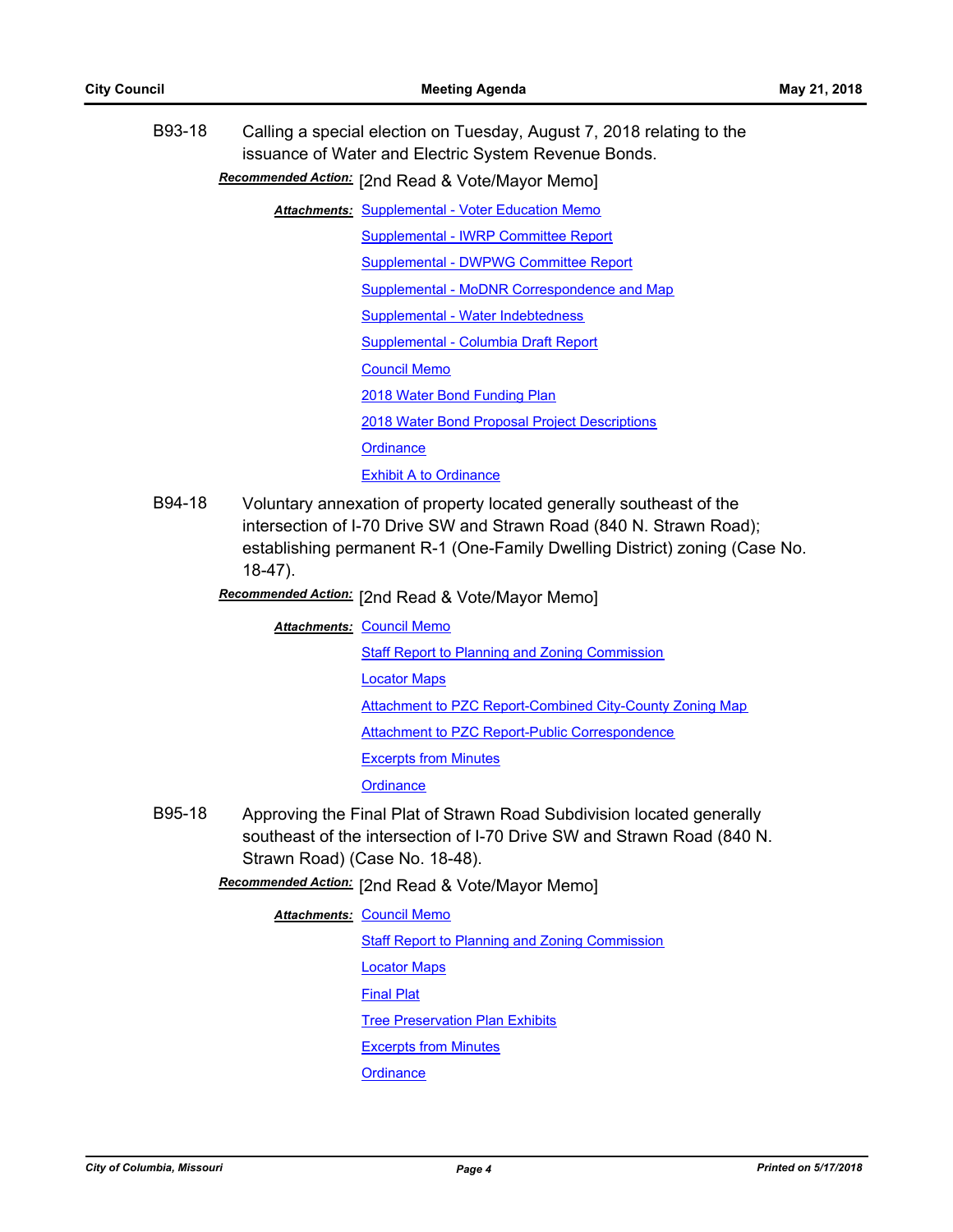| B93-18 | Calling a special election on Tuesday, August 7, 2018 relating to the<br>issuance of Water and Electric System Revenue Bonds.<br>Recommended Action: [2nd Read & Vote/Mayor Memo] |  |  |
|--------|-----------------------------------------------------------------------------------------------------------------------------------------------------------------------------------|--|--|
|        | <b>Attachments: Supplemental - Voter Education Memo</b>                                                                                                                           |  |  |
|        | Supplemental - IWRP Committee Report                                                                                                                                              |  |  |
|        | Supplemental - DWPWG Committee Report                                                                                                                                             |  |  |
|        | Supplemental - MoDNR Correspondence and Map                                                                                                                                       |  |  |
|        | Supplemental - Water Indebtedness                                                                                                                                                 |  |  |
|        | <b>Supplemental - Columbia Draft Report</b>                                                                                                                                       |  |  |
|        | <b>Council Memo</b>                                                                                                                                                               |  |  |
|        | 2018 Water Bond Funding Plan                                                                                                                                                      |  |  |
|        | 2018 Water Bond Proposal Project Descriptions                                                                                                                                     |  |  |
|        | Ordinance                                                                                                                                                                         |  |  |
|        | <b>Exhibit A to Ordinance</b>                                                                                                                                                     |  |  |

B94-18 Voluntary annexation of property located generally southeast of the intersection of I-70 Drive SW and Strawn Road (840 N. Strawn Road); establishing permanent R-1 (One-Family Dwelling District) zoning (Case No. 18-47).

[2nd Read & Vote/Mayor Memo] *Recommended Action:*

**Attachments: [Council Memo](http://gocolumbiamo.legistar.com/gateway.aspx?M=F&ID=33e28fc8-7f2f-4a1c-a891-ebc567d2698f.docx)** 

[Staff Report to Planning and Zoning Commission](http://gocolumbiamo.legistar.com/gateway.aspx?M=F&ID=45d9a8d9-075b-47c7-b6ee-8f8d1c304e09.docx) [Locator Maps](http://gocolumbiamo.legistar.com/gateway.aspx?M=F&ID=599c3daf-0868-4cc7-881a-99eba744a908.pdf) [Attachment to PZC Report-Combined City-County Zoning Map](http://gocolumbiamo.legistar.com/gateway.aspx?M=F&ID=584fe587-879c-4bfc-95bb-9673e6aa4bd4.pdf) [Attachment to PZC Report-Public Correspondence](http://gocolumbiamo.legistar.com/gateway.aspx?M=F&ID=8ec5cc8e-4fa0-47fc-b0ba-492a7efcab44.pdf) [Excerpts from Minutes](http://gocolumbiamo.legistar.com/gateway.aspx?M=F&ID=d5b2c203-d228-49e1-b2f1-74b20399c52c.docx) **[Ordinance](http://gocolumbiamo.legistar.com/gateway.aspx?M=F&ID=e87bb358-c93f-498d-93a1-6faffe909b83.doc)** 

B95-18 Approving the Final Plat of Strawn Road Subdivision located generally southeast of the intersection of I-70 Drive SW and Strawn Road (840 N. Strawn Road) (Case No. 18-48).

**Recommended Action:** [2nd Read & Vote/Mayor Memo]

**Attachments: [Council Memo](http://gocolumbiamo.legistar.com/gateway.aspx?M=F&ID=559f4332-058a-482f-ac49-866d61c487c0.docx)** 

**[Staff Report to Planning and Zoning Commission](http://gocolumbiamo.legistar.com/gateway.aspx?M=F&ID=b6714e90-43df-4dc4-865c-38562bb4d53a.docx)** 

[Locator Maps](http://gocolumbiamo.legistar.com/gateway.aspx?M=F&ID=baa34f24-6a87-4862-a6db-abec7f96c78d.pdf)

[Final Plat](http://gocolumbiamo.legistar.com/gateway.aspx?M=F&ID=78499e9d-2b39-4894-b9ad-5009853f8e9a.pdf)

**[Tree Preservation Plan Exhibits](http://gocolumbiamo.legistar.com/gateway.aspx?M=F&ID=a7ff4688-b154-47c5-abae-804774ec4213.pdf)** 

[Excerpts from Minutes](http://gocolumbiamo.legistar.com/gateway.aspx?M=F&ID=05c395be-1bd1-4597-ad06-4b5cdd972777.docx)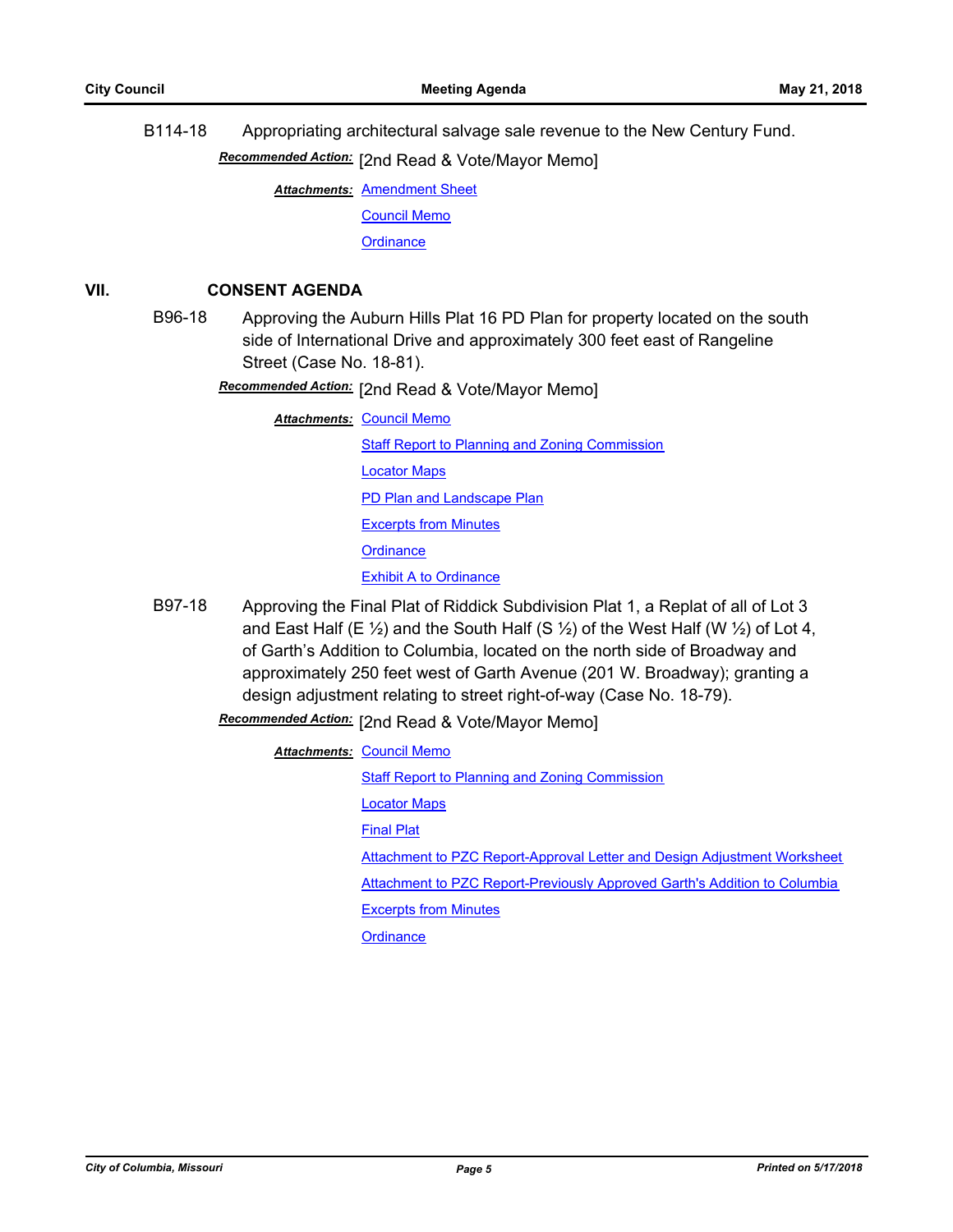B114-18 Appropriating architectural salvage sale revenue to the New Century Fund.

Recommended Action: [2nd Read & Vote/Mayor Memo]

**Attachments: [Amendment Sheet](http://gocolumbiamo.legistar.com/gateway.aspx?M=F&ID=75cfeeb7-76ac-43d8-96d3-c8c84f89780a.doc)** 

[Council Memo](http://gocolumbiamo.legistar.com/gateway.aspx?M=F&ID=b5c853f7-5817-4145-a688-24fb39fad217.docx)

**[Ordinance](http://gocolumbiamo.legistar.com/gateway.aspx?M=F&ID=c01344e4-065a-4aca-a444-28f8d2bb24d1.doc)** 

## **VII. CONSENT AGENDA**

B96-18 Approving the Auburn Hills Plat 16 PD Plan for property located on the south side of International Drive and approximately 300 feet east of Rangeline Street (Case No. 18-81).

Recommended Action: [2nd Read & Vote/Mayor Memo]

**Attachments: [Council Memo](http://gocolumbiamo.legistar.com/gateway.aspx?M=F&ID=21ebaca4-14b0-4e5d-9cf2-f0359ba14b7e.docx)** 

**[Staff Report to Planning and Zoning Commission](http://gocolumbiamo.legistar.com/gateway.aspx?M=F&ID=8d8cec2e-3679-440d-8653-ff27c740a93a.docx)** [Locator Maps](http://gocolumbiamo.legistar.com/gateway.aspx?M=F&ID=e3a78bfc-ac89-43ec-887c-9761bbf3d366.pdf) [PD Plan and Landscape Plan](http://gocolumbiamo.legistar.com/gateway.aspx?M=F&ID=ecdf5d8b-8793-465d-b3dc-3e5dfd741d6f.pdf) [Excerpts from Minutes](http://gocolumbiamo.legistar.com/gateway.aspx?M=F&ID=b421f8e5-4feb-42e6-94ab-e093a09941b2.docx) **[Ordinance](http://gocolumbiamo.legistar.com/gateway.aspx?M=F&ID=953263e2-3dfa-4e0f-8527-e7b8621e4b60.doc) [Exhibit A to Ordinance](http://gocolumbiamo.legistar.com/gateway.aspx?M=F&ID=d1dc358e-70e4-43d0-b9c3-8a94fe8ceb3d.pdf)** 

B97-18 Approving the Final Plat of Riddick Subdivision Plat 1, a Replat of all of Lot 3 and East Half (E  $\frac{1}{2}$ ) and the South Half (S  $\frac{1}{2}$ ) of the West Half (W  $\frac{1}{2}$ ) of Lot 4, of Garth's Addition to Columbia, located on the north side of Broadway and approximately 250 feet west of Garth Avenue (201 W. Broadway); granting a design adjustment relating to street right-of-way (Case No. 18-79).

# Recommended Action: [2nd Read & Vote/Mayor Memo]

**Attachments: [Council Memo](http://gocolumbiamo.legistar.com/gateway.aspx?M=F&ID=987673e8-e14a-46b9-b71a-0f939d3b21fc.docx)** 

[Staff Report to Planning and Zoning Commission](http://gocolumbiamo.legistar.com/gateway.aspx?M=F&ID=cad7ede5-2b33-4c45-b308-45857bf1f0db.pdf)

[Locator Maps](http://gocolumbiamo.legistar.com/gateway.aspx?M=F&ID=1c99a1a8-2731-4ca1-8d1e-1bc765a82fa8.pdf)

[Final Plat](http://gocolumbiamo.legistar.com/gateway.aspx?M=F&ID=fab7652f-8bc0-4976-9904-07436f8d0d61.pdf)

[Attachment to PZC Report-Approval Letter and Design Adjustment Worksheet](http://gocolumbiamo.legistar.com/gateway.aspx?M=F&ID=0baeab8a-b355-4c6e-b471-630c64e6f09c.pdf)

[Attachment to PZC Report-Previously Approved Garth's Addition to Columbia](http://gocolumbiamo.legistar.com/gateway.aspx?M=F&ID=1bba3864-b04d-4b61-8616-d94ce0631583.pdf)

[Excerpts from Minutes](http://gocolumbiamo.legistar.com/gateway.aspx?M=F&ID=0ac9650f-815f-4755-b137-20e5f09e3236.docx)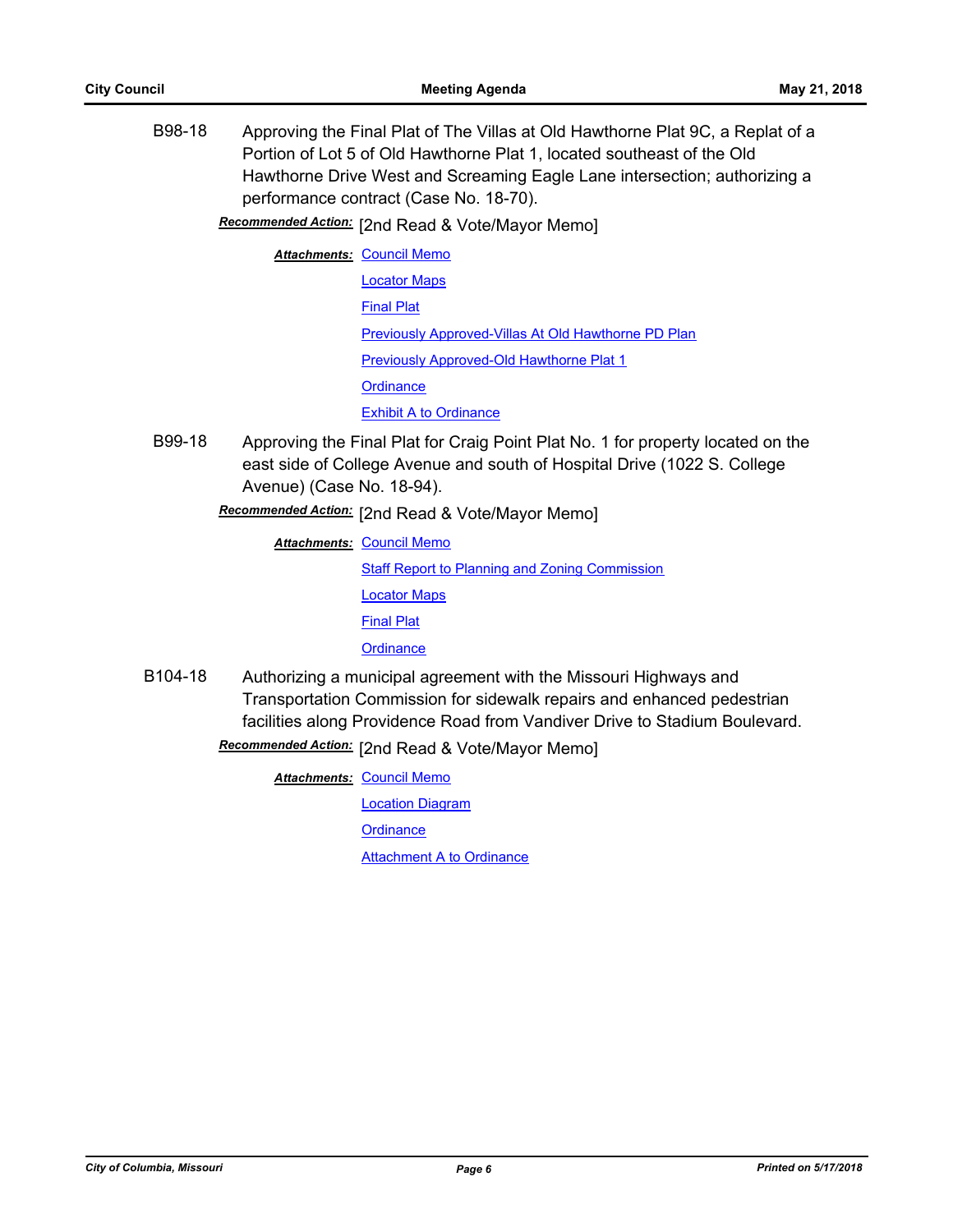B98-18 Approving the Final Plat of The Villas at Old Hawthorne Plat 9C, a Replat of a Portion of Lot 5 of Old Hawthorne Plat 1, located southeast of the Old Hawthorne Drive West and Screaming Eagle Lane intersection; authorizing a performance contract (Case No. 18-70).

Recommended Action: [2nd Read & Vote/Mayor Memo]

- **Attachments: [Council Memo](http://gocolumbiamo.legistar.com/gateway.aspx?M=F&ID=81a12870-0c56-4774-ae8c-06086356ea46.docx)** [Locator Maps](http://gocolumbiamo.legistar.com/gateway.aspx?M=F&ID=572c97da-ffce-4dbb-aea7-b22cd182e9a0.pdf) [Final Plat](http://gocolumbiamo.legistar.com/gateway.aspx?M=F&ID=23de231a-33a6-4dbb-9a69-e6a93b634796.pdf) [Previously Approved-Villas At Old Hawthorne PD Plan](http://gocolumbiamo.legistar.com/gateway.aspx?M=F&ID=cd797ee2-71f1-4b3a-bce6-34a3b5a8b8ed.pdf) **[Previously Approved-Old Hawthorne Plat 1](http://gocolumbiamo.legistar.com/gateway.aspx?M=F&ID=6e38c2ac-b075-41e3-ba43-cfe8c5ce6496.pdf) [Ordinance](http://gocolumbiamo.legistar.com/gateway.aspx?M=F&ID=4b6a6e33-84e6-4b33-9212-20d138e6b5a0.doc)** [Exhibit A to Ordinance](http://gocolumbiamo.legistar.com/gateway.aspx?M=F&ID=52fd3246-5a5b-4e17-93fb-9e9e8f5e156a.pdf)
- B99-18 Approving the Final Plat for Craig Point Plat No. 1 for property located on the east side of College Avenue and south of Hospital Drive (1022 S. College Avenue) (Case No. 18-94).

[2nd Read & Vote/Mayor Memo] *Recommended Action:*

**Attachments: [Council Memo](http://gocolumbiamo.legistar.com/gateway.aspx?M=F&ID=ee28de44-0cb0-4af7-9d0b-b77c4d01fe5b.docx) [Staff Report to Planning and Zoning Commission](http://gocolumbiamo.legistar.com/gateway.aspx?M=F&ID=ba588fd9-9575-4bf6-8123-01fb225ee687.docx)** [Locator Maps](http://gocolumbiamo.legistar.com/gateway.aspx?M=F&ID=51b6346f-d647-4fc1-95b1-10eb47d4d25b.pdf) [Final Plat](http://gocolumbiamo.legistar.com/gateway.aspx?M=F&ID=0c6f96f3-35ea-4509-98ec-dd44ef20d135.pdf) **[Ordinance](http://gocolumbiamo.legistar.com/gateway.aspx?M=F&ID=8e09c415-ba1c-48bc-a9ef-df86e402bb30.doc)** 

B104-18 Authorizing a municipal agreement with the Missouri Highways and Transportation Commission for sidewalk repairs and enhanced pedestrian facilities along Providence Road from Vandiver Drive to Stadium Boulevard. **Recommended Action:** [2nd Read & Vote/Mayor Memo]

**Attachments: [Council Memo](http://gocolumbiamo.legistar.com/gateway.aspx?M=F&ID=1988340d-80de-4036-9031-6a0252820496.docx)** 

[Location Diagram](http://gocolumbiamo.legistar.com/gateway.aspx?M=F&ID=336c5653-c233-4542-8a4a-e96e262bba8b.pdf)

**[Ordinance](http://gocolumbiamo.legistar.com/gateway.aspx?M=F&ID=f7982814-8b13-4c26-ae52-ba6344a89bc2.doc)** 

[Attachment A to Ordinance](http://gocolumbiamo.legistar.com/gateway.aspx?M=F&ID=1495093b-ad81-4b01-a365-c62c5053b23b.pdf)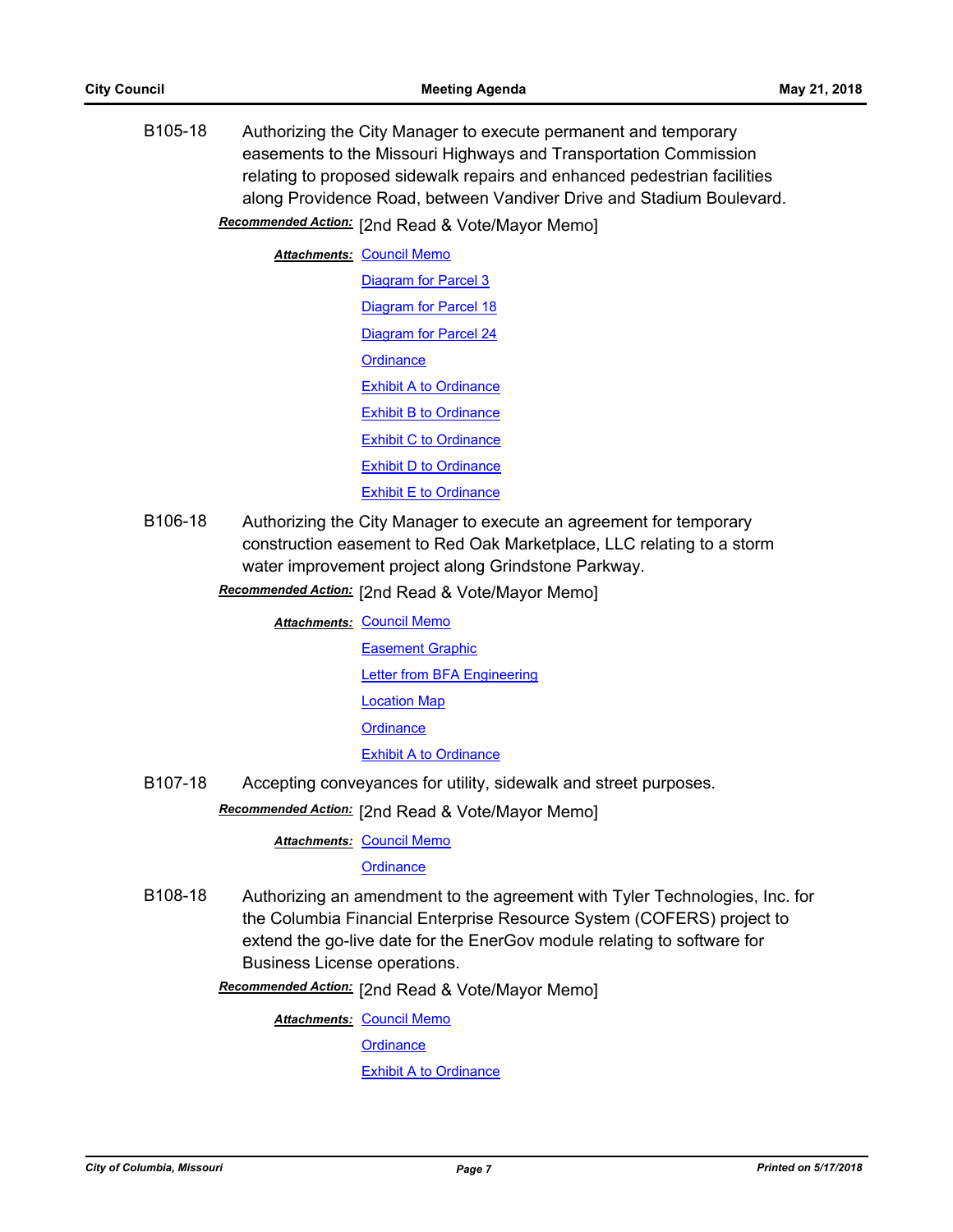B105-18 Authorizing the City Manager to execute permanent and temporary easements to the Missouri Highways and Transportation Commission relating to proposed sidewalk repairs and enhanced pedestrian facilities along Providence Road, between Vandiver Drive and Stadium Boulevard. Recommended Action: [2nd Read & Vote/Mayor Memo]

**Attachments: [Council Memo](http://gocolumbiamo.legistar.com/gateway.aspx?M=F&ID=9f05c6ec-9c19-4983-83c7-f3c7a95be081.docx)** [Diagram for Parcel 3](http://gocolumbiamo.legistar.com/gateway.aspx?M=F&ID=5d528ab5-d5c3-4d4c-a0fc-7e60cd90a4e7.pdf) [Diagram for Parcel 18](http://gocolumbiamo.legistar.com/gateway.aspx?M=F&ID=590fc45b-32ff-4a19-a2db-0e08321fe8cc.pdf) [Diagram for Parcel 24](http://gocolumbiamo.legistar.com/gateway.aspx?M=F&ID=896eecb4-3975-4849-bf03-7471de65b994.pdf) **[Ordinance](http://gocolumbiamo.legistar.com/gateway.aspx?M=F&ID=bdfd462d-9f22-4f4b-8bf6-68c7944a89cd.doc)** [Exhibit A to Ordinance](http://gocolumbiamo.legistar.com/gateway.aspx?M=F&ID=e78096b4-f71b-43bf-8906-2cd798033ce7.pdf) [Exhibit B to Ordinance](http://gocolumbiamo.legistar.com/gateway.aspx?M=F&ID=43a59992-85ce-4387-ba45-c4457388c850.pdf) [Exhibit C to Ordinance](http://gocolumbiamo.legistar.com/gateway.aspx?M=F&ID=6111369a-7e62-4a05-94ad-f6ab8c22ff9d.pdf) [Exhibit D to Ordinance](http://gocolumbiamo.legistar.com/gateway.aspx?M=F&ID=4e34e8bc-ae20-4121-afb1-ad55b23565d7.pdf) [Exhibit E to Ordinance](http://gocolumbiamo.legistar.com/gateway.aspx?M=F&ID=bc322018-0950-430e-bf18-41f0a6dba481.pdf)

- B106-18 Authorizing the City Manager to execute an agreement for temporary construction easement to Red Oak Marketplace, LLC relating to a storm water improvement project along Grindstone Parkway.
	- Recommended Action: [2nd Read & Vote/Mayor Memo]

**Attachments: [Council Memo](http://gocolumbiamo.legistar.com/gateway.aspx?M=F&ID=ef491e3d-3081-4a98-8ed7-b5fa060bd8ef.docx)** 

[Easement Graphic](http://gocolumbiamo.legistar.com/gateway.aspx?M=F&ID=a440ce80-2265-4628-ba49-e4b1f65c97cc.pdf) [Letter from BFA Engineering](http://gocolumbiamo.legistar.com/gateway.aspx?M=F&ID=d3cd22e4-825a-46b7-8f38-f2f85df1febf.pdf) [Location Map](http://gocolumbiamo.legistar.com/gateway.aspx?M=F&ID=e904a9f0-70df-4107-ac3e-594961aaebf1.pdf) **[Ordinance](http://gocolumbiamo.legistar.com/gateway.aspx?M=F&ID=0c0db5de-b2ca-4e7c-99ea-98856caf3b92.doc)** [Exhibit A to Ordinance](http://gocolumbiamo.legistar.com/gateway.aspx?M=F&ID=4fefc427-7e6e-473f-8b2f-01e478ef67dc.pdf)

B107-18 Accepting conveyances for utility, sidewalk and street purposes.

[2nd Read & Vote/Mayor Memo] *Recommended Action:*

**Attachments: [Council Memo](http://gocolumbiamo.legistar.com/gateway.aspx?M=F&ID=9b73c782-8482-420d-9589-461f49d4dab8.docx)** 

**[Ordinance](http://gocolumbiamo.legistar.com/gateway.aspx?M=F&ID=b60e9de3-8904-470d-938b-e9878da715d3.doc)** 

- B108-18 Authorizing an amendment to the agreement with Tyler Technologies, Inc. for the Columbia Financial Enterprise Resource System (COFERS) project to extend the go-live date for the EnerGov module relating to software for Business License operations.
	- Recommended Action: [2nd Read & Vote/Mayor Memo]

**Attachments: [Council Memo](http://gocolumbiamo.legistar.com/gateway.aspx?M=F&ID=a83d38ed-4ae2-44fd-881e-dd5601f6ba5b.docx)** 

**[Ordinance](http://gocolumbiamo.legistar.com/gateway.aspx?M=F&ID=213493c9-4ce1-4755-8fc6-70fd40e2e03b.doc)** 

[Exhibit A to Ordinance](http://gocolumbiamo.legistar.com/gateway.aspx?M=F&ID=db11d0ea-114a-4667-8265-6c64394bdedf.pdf)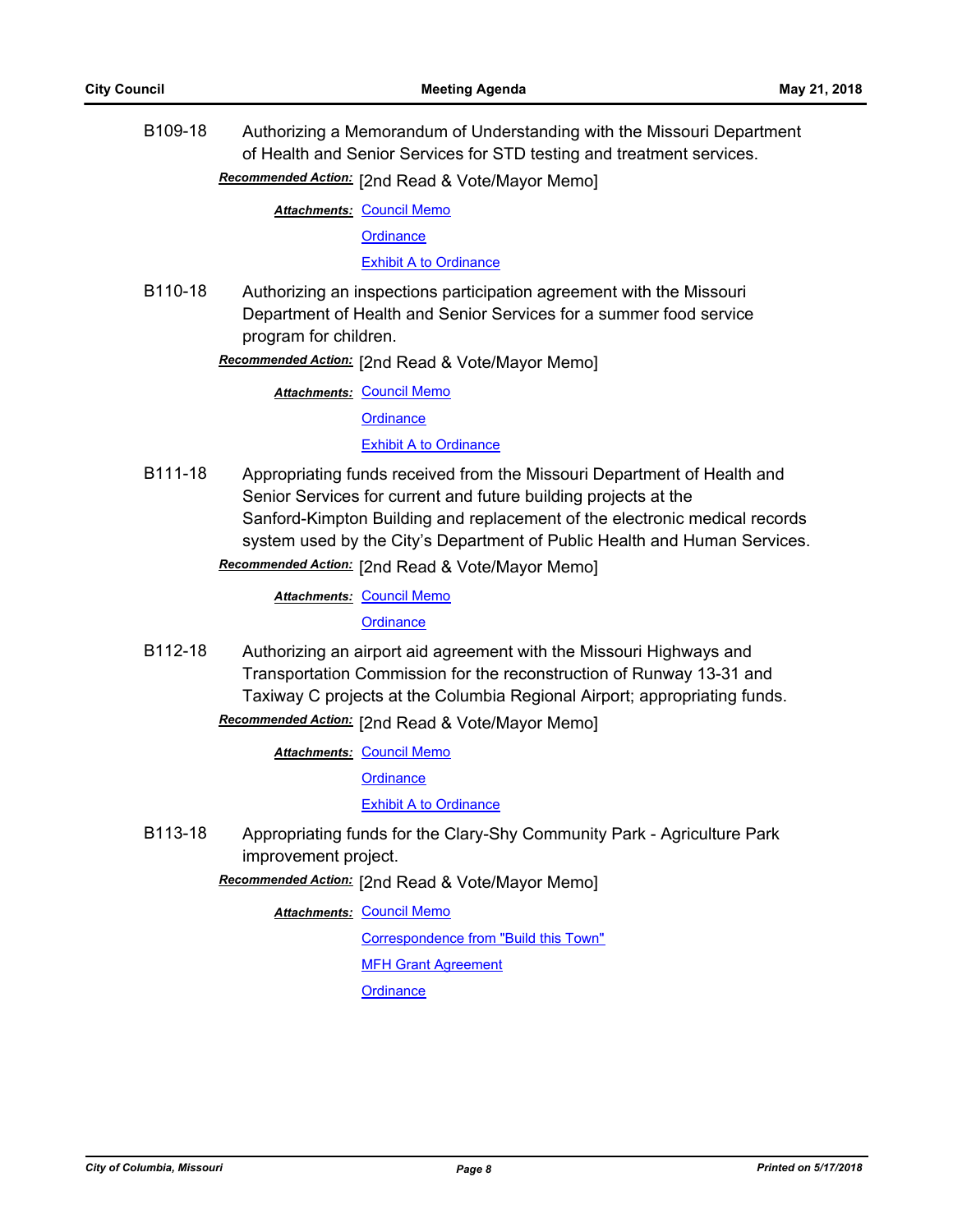B109-18 Authorizing a Memorandum of Understanding with the Missouri Department of Health and Senior Services for STD testing and treatment services.

**Recommended Action:** [2nd Read & Vote/Mayor Memo]

**Attachments: [Council Memo](http://gocolumbiamo.legistar.com/gateway.aspx?M=F&ID=c91aa48b-5ded-40f2-82ae-12b20c6db0b0.docx)** 

**[Ordinance](http://gocolumbiamo.legistar.com/gateway.aspx?M=F&ID=bbb15556-1b4e-417a-9679-df764eca2406.doc)** 

[Exhibit A to Ordinance](http://gocolumbiamo.legistar.com/gateway.aspx?M=F&ID=8c3a67ec-b96b-457e-8fe4-bc91b85f01ad.pdf)

B110-18 Authorizing an inspections participation agreement with the Missouri Department of Health and Senior Services for a summer food service program for children.

**Recommended Action:** [2nd Read & Vote/Mayor Memo]

**Attachments: [Council Memo](http://gocolumbiamo.legistar.com/gateway.aspx?M=F&ID=5cab4841-4d2d-4860-8b01-33b0dd8c89a9.docx)** 

**[Ordinance](http://gocolumbiamo.legistar.com/gateway.aspx?M=F&ID=cc2121e3-d7e7-4e1c-a356-1ff5ce3be0a0.doc)** 

## [Exhibit A to Ordinance](http://gocolumbiamo.legistar.com/gateway.aspx?M=F&ID=e41dabbd-4b6b-4d4a-b6f2-6c91b731aeca.pdf)

B111-18 Appropriating funds received from the Missouri Department of Health and Senior Services for current and future building projects at the Sanford-Kimpton Building and replacement of the electronic medical records system used by the City's Department of Public Health and Human Services.

Recommended Action: [2nd Read & Vote/Mayor Memo]

**Attachments: [Council Memo](http://gocolumbiamo.legistar.com/gateway.aspx?M=F&ID=c954548c-93f2-4b6c-a5f2-1f5381c57e3f.docx)** 

**[Ordinance](http://gocolumbiamo.legistar.com/gateway.aspx?M=F&ID=08c753c0-5bc7-4d47-a920-3004e1106d5e.doc)** 

B112-18 Authorizing an airport aid agreement with the Missouri Highways and Transportation Commission for the reconstruction of Runway 13-31 and Taxiway C projects at the Columbia Regional Airport; appropriating funds. Recommended Action: [2nd Read & Vote/Mayor Memo]

**Attachments: [Council Memo](http://gocolumbiamo.legistar.com/gateway.aspx?M=F&ID=56efa884-6a86-420e-8b3b-ef1b2c748282.docx)** 

**[Ordinance](http://gocolumbiamo.legistar.com/gateway.aspx?M=F&ID=bea6d5fe-6ef8-4023-a3af-5c53ede4eb51.doc)** 

[Exhibit A to Ordinance](http://gocolumbiamo.legistar.com/gateway.aspx?M=F&ID=6236b7ed-8e04-4a49-b610-7d99efcfc840.pdf)

B113-18 Appropriating funds for the Clary-Shy Community Park - Agriculture Park improvement project.

Recommended Action: [2nd Read & Vote/Mayor Memo]

**Attachments: [Council Memo](http://gocolumbiamo.legistar.com/gateway.aspx?M=F&ID=82789a32-0edf-4fcb-a202-81f6105434d8.docx)** 

[Correspondence from "Build this Town"](http://gocolumbiamo.legistar.com/gateway.aspx?M=F&ID=fc593c8a-8a6e-42c5-b865-a8df8bffd27d.pdf)

[MFH Grant Agreement](http://gocolumbiamo.legistar.com/gateway.aspx?M=F&ID=8d03ba53-fd57-4bfb-899b-52aee75c3472.pdf)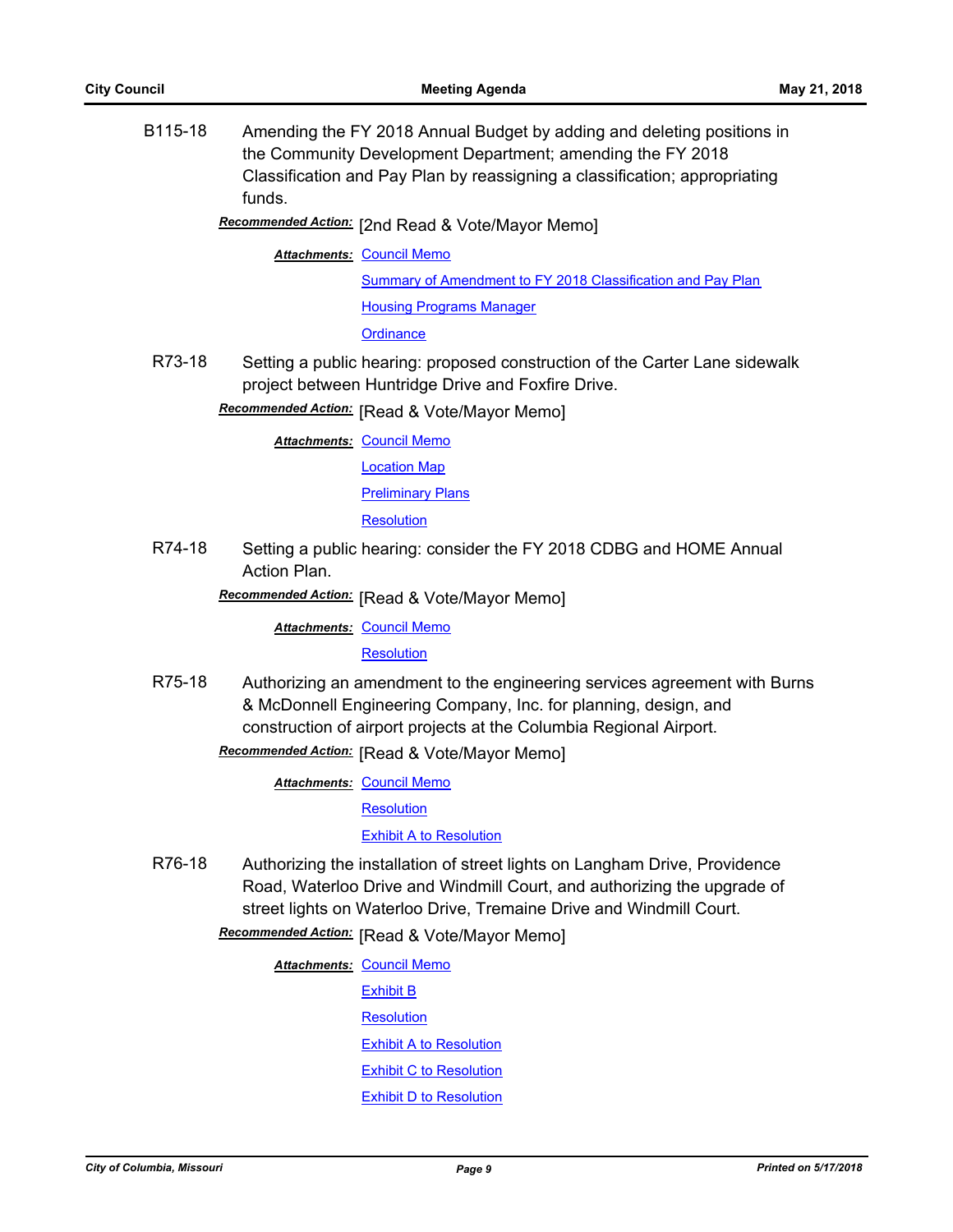B115-18 Amending the FY 2018 Annual Budget by adding and deleting positions in the Community Development Department; amending the FY 2018 Classification and Pay Plan by reassigning a classification; appropriating funds.

# Recommended Action: [2nd Read & Vote/Mayor Memo]

#### **Attachments: [Council Memo](http://gocolumbiamo.legistar.com/gateway.aspx?M=F&ID=519c4645-4748-4d81-a166-1af8c815837d.docx)**

[Summary of Amendment to FY 2018 Classification and Pay Plan](http://gocolumbiamo.legistar.com/gateway.aspx?M=F&ID=501784ff-3b6a-49e2-82bb-81e9c34cf617.doc) [Housing Programs Manager](http://gocolumbiamo.legistar.com/gateway.aspx?M=F&ID=c2c7c7ba-de3d-4f9b-a0c7-f03fbfbf6fbb.docx)

**[Ordinance](http://gocolumbiamo.legistar.com/gateway.aspx?M=F&ID=fe113535-668f-4154-b0a8-1ceba923caf0.doc)** 

R73-18 Setting a public hearing: proposed construction of the Carter Lane sidewalk project between Huntridge Drive and Foxfire Drive.

**Recommended Action:** [Read & Vote/Mayor Memo]

**Attachments: [Council Memo](http://gocolumbiamo.legistar.com/gateway.aspx?M=F&ID=86b29b85-6357-42f7-a164-95e9f78656fe.docx)** 

[Location Map](http://gocolumbiamo.legistar.com/gateway.aspx?M=F&ID=aefc06fc-8957-4f99-8292-e445a4c1ff48.pdf)

#### [Preliminary Plans](http://gocolumbiamo.legistar.com/gateway.aspx?M=F&ID=d823ccb7-e25d-4dd6-beb5-d2348131c584.pdf)

**[Resolution](http://gocolumbiamo.legistar.com/gateway.aspx?M=F&ID=96208547-9811-4f2c-9adc-9ea80ff083d7.doc)** 

R74-18 Setting a public hearing: consider the FY 2018 CDBG and HOME Annual Action Plan.

**Recommended Action:** [Read & Vote/Mayor Memo]

**Attachments: [Council Memo](http://gocolumbiamo.legistar.com/gateway.aspx?M=F&ID=6ea27880-0789-4b6f-9adb-85dc93f04728.docx)** 

**[Resolution](http://gocolumbiamo.legistar.com/gateway.aspx?M=F&ID=4337dc70-c7a8-480a-b42a-0b8f9ec61061.doc)** 

R75-18 Authorizing an amendment to the engineering services agreement with Burns & McDonnell Engineering Company, Inc. for planning, design, and construction of airport projects at the Columbia Regional Airport.

**Recommended Action:** [Read & Vote/Mayor Memo]

**Attachments: [Council Memo](http://gocolumbiamo.legistar.com/gateway.aspx?M=F&ID=cb8d2305-77c3-4503-8622-1eca5b8b4e30.docx)** 

**[Resolution](http://gocolumbiamo.legistar.com/gateway.aspx?M=F&ID=5e381cba-bb11-486a-9f31-5a0aa9b6ee2f.doc)** 

[Exhibit A to Resolution](http://gocolumbiamo.legistar.com/gateway.aspx?M=F&ID=d2cf0cf0-7c15-448d-a712-c435af328be5.pdf)

R76-18 Authorizing the installation of street lights on Langham Drive, Providence Road, Waterloo Drive and Windmill Court, and authorizing the upgrade of street lights on Waterloo Drive, Tremaine Drive and Windmill Court.

# **Recommended Action:** [Read & Vote/Mayor Memo]

**Attachments: [Council Memo](http://gocolumbiamo.legistar.com/gateway.aspx?M=F&ID=5eaa0d1e-2b3b-43bc-8708-cc814fd905d1.docx)** [Exhibit B](http://gocolumbiamo.legistar.com/gateway.aspx?M=F&ID=3f6cb75b-9cdb-47f5-a3aa-b5d28edfbfd7.png) **[Resolution](http://gocolumbiamo.legistar.com/gateway.aspx?M=F&ID=e262ac67-3de8-4f74-a5e1-849ceb1353ff.doc)** [Exhibit A to Resolution](http://gocolumbiamo.legistar.com/gateway.aspx?M=F&ID=fff6c655-8680-4d3f-98ff-9176673b4203.png) [Exhibit C to Resolution](http://gocolumbiamo.legistar.com/gateway.aspx?M=F&ID=96b356fd-77e3-4575-bc95-624b034f6945.png) [Exhibit D to Resolution](http://gocolumbiamo.legistar.com/gateway.aspx?M=F&ID=f71948a9-70bc-4f0e-be87-ed7891c4fa8c.png)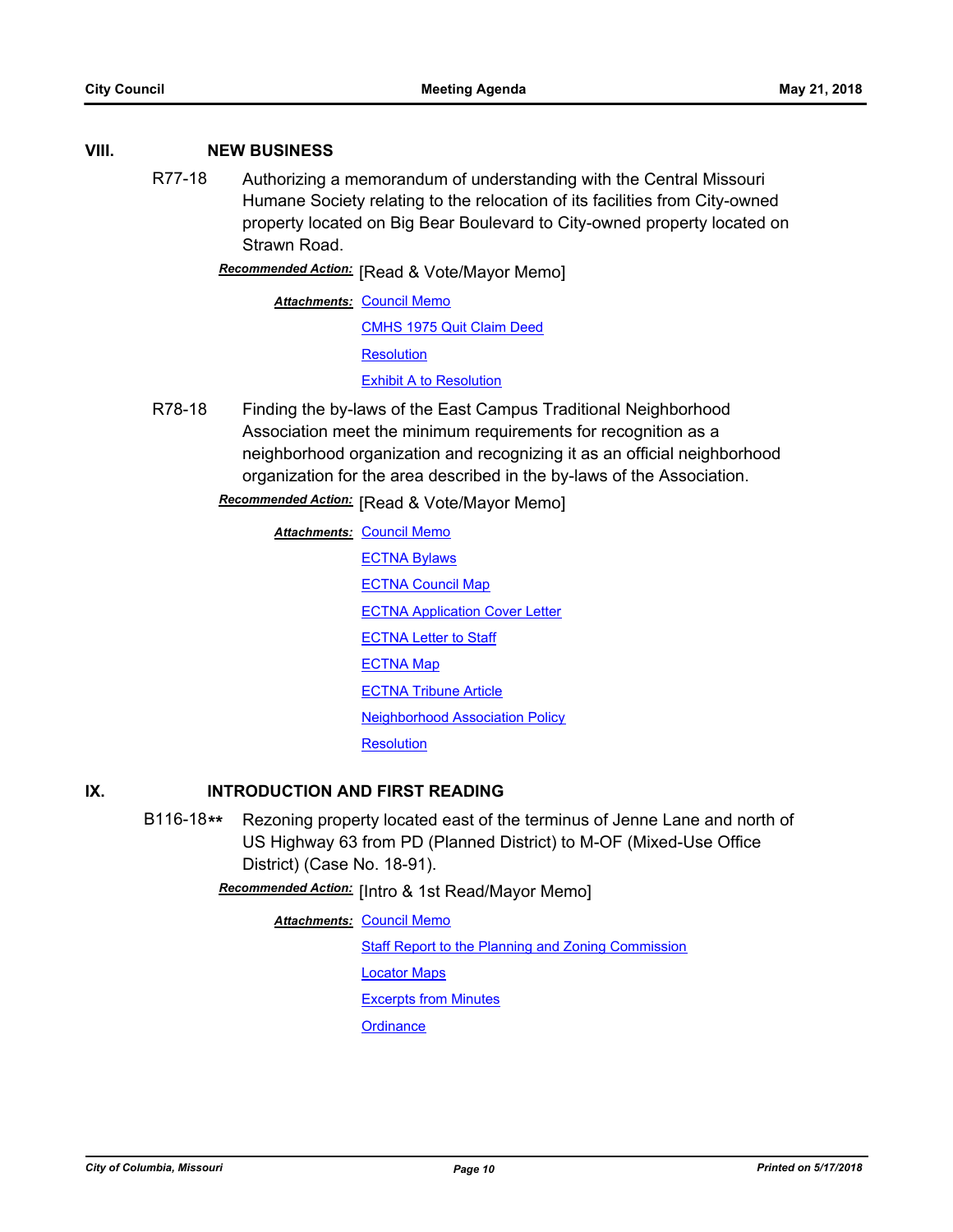### **VIII. NEW BUSINESS**

R77-18 Authorizing a memorandum of understanding with the Central Missouri Humane Society relating to the relocation of its facilities from City-owned property located on Big Bear Boulevard to City-owned property located on Strawn Road.

**Recommended Action:** [Read & Vote/Mayor Memo]

**Attachments: [Council Memo](http://gocolumbiamo.legistar.com/gateway.aspx?M=F&ID=a4530ee7-7764-4747-a30a-a6f43a236753.docx)** [CMHS 1975 Quit Claim Deed](http://gocolumbiamo.legistar.com/gateway.aspx?M=F&ID=bf7f47ec-5a44-41ff-9160-f84df6a9b871.pdf) **[Resolution](http://gocolumbiamo.legistar.com/gateway.aspx?M=F&ID=41fe61e3-0879-4b3e-8c5d-cce92f1d4dbf.doc)** [Exhibit A to Resolution](http://gocolumbiamo.legistar.com/gateway.aspx?M=F&ID=add80bce-779e-4436-997a-a0a98ae8bb57.docx)

R78-18 Finding the by-laws of the East Campus Traditional Neighborhood Association meet the minimum requirements for recognition as a neighborhood organization and recognizing it as an official neighborhood organization for the area described in the by-laws of the Association.

**Recommended Action:** [Read & Vote/Mayor Memo]

**Attachments: [Council Memo](http://gocolumbiamo.legistar.com/gateway.aspx?M=F&ID=79cdc7e8-7b4d-43cb-994f-c9b6ac2e7883.docx)** [ECTNA Bylaws](http://gocolumbiamo.legistar.com/gateway.aspx?M=F&ID=3c9b0985-7e0b-40bc-9bdd-ecec8e95ae92.pdf) **[ECTNA Council Map](http://gocolumbiamo.legistar.com/gateway.aspx?M=F&ID=39540b08-e6b5-40c8-b47e-bfdfec386476.pdf)** [ECTNA Application Cover Letter](http://gocolumbiamo.legistar.com/gateway.aspx?M=F&ID=fd195009-e380-4f9e-9529-54a2bdaa26ae.pdf) [ECTNA Letter to Staff](http://gocolumbiamo.legistar.com/gateway.aspx?M=F&ID=096cb70a-1fce-4956-ba1c-b1f82c89d821.pdf) [ECTNA Map](http://gocolumbiamo.legistar.com/gateway.aspx?M=F&ID=7fe3395f-6b52-43ae-99f5-3b3fbaa4bcf5.pdf) **[ECTNA Tribune Article](http://gocolumbiamo.legistar.com/gateway.aspx?M=F&ID=4885d4b3-9b2d-4bba-aa3d-a50ae6936018.pdf)** [Neighborhood Association Policy](http://gocolumbiamo.legistar.com/gateway.aspx?M=F&ID=5bd068fe-63a7-41f0-a14b-21908e1b9ce7.pdf) **[Resolution](http://gocolumbiamo.legistar.com/gateway.aspx?M=F&ID=bf2a563b-cfc1-4add-9661-abd94e6bc7d1.doc)** 

## **IX. INTRODUCTION AND FIRST READING**

B116-18**\*\*** Rezoning property located east of the terminus of Jenne Lane and north of US Highway 63 from PD (Planned District) to M-OF (Mixed-Use Office District) (Case No. 18-91).

Recommended Action: [Intro & 1st Read/Mayor Memo]

**Attachments: [Council Memo](http://gocolumbiamo.legistar.com/gateway.aspx?M=F&ID=ab25a37a-93a6-4473-abad-f2e561023e26.docx)** [Staff Report to the Planning and Zoning Commission](http://gocolumbiamo.legistar.com/gateway.aspx?M=F&ID=5863f834-e8b1-43e1-b777-fc03eb74a7aa.docx)

[Locator Maps](http://gocolumbiamo.legistar.com/gateway.aspx?M=F&ID=3aff3a33-ad91-4a25-a154-9d22d6ecdc13.pdf)

[Excerpts from Minutes](http://gocolumbiamo.legistar.com/gateway.aspx?M=F&ID=89cb2db5-bb21-498d-8b7b-a67ece1f0b93.docx)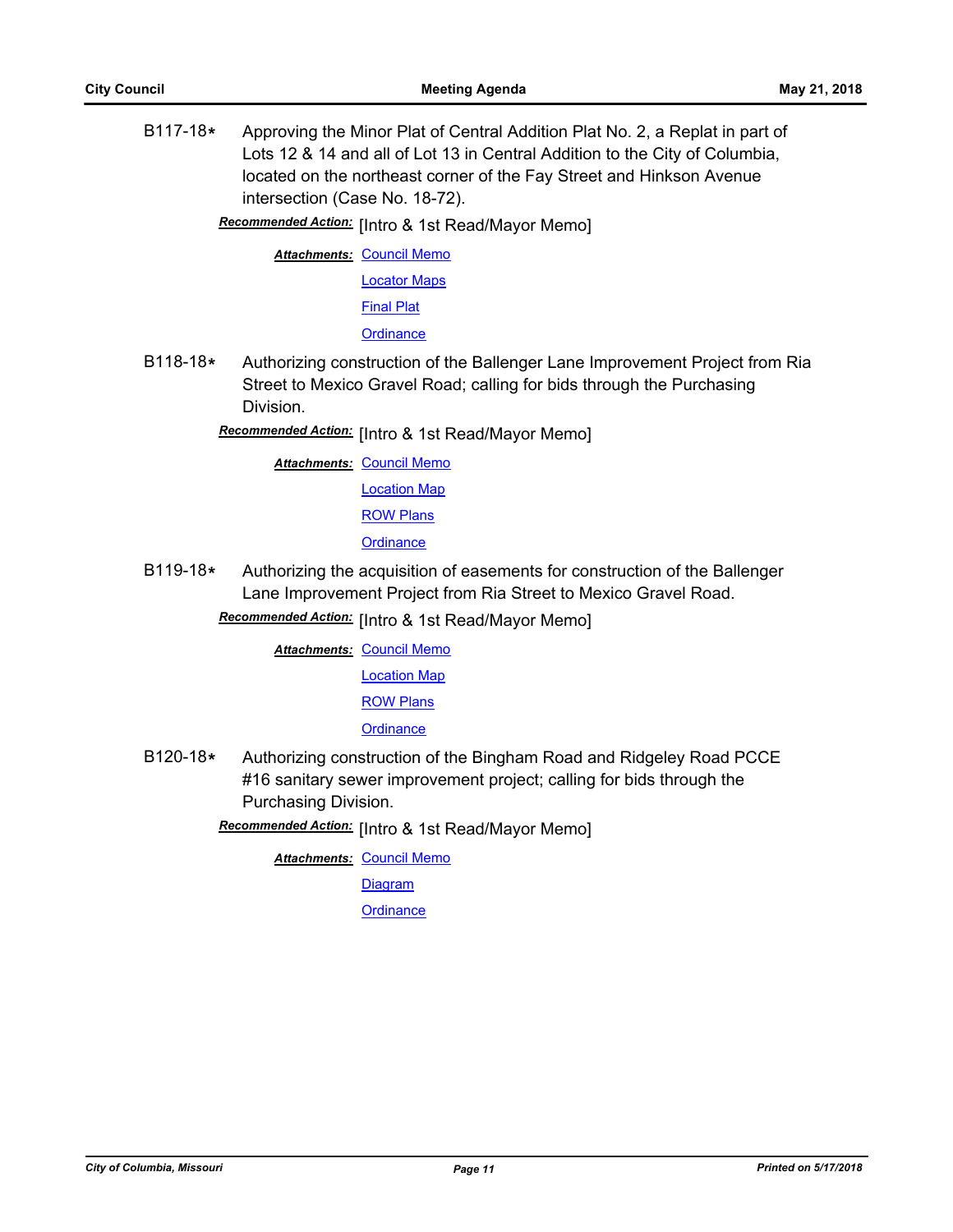B117-18**\*** Approving the Minor Plat of Central Addition Plat No. 2, a Replat in part of Lots 12 & 14 and all of Lot 13 in Central Addition to the City of Columbia, located on the northeast corner of the Fay Street and Hinkson Avenue intersection (Case No. 18-72).

Recommended Action: [Intro & 1st Read/Mayor Memo]

**Attachments: [Council Memo](http://gocolumbiamo.legistar.com/gateway.aspx?M=F&ID=d578ed98-c2e2-43e2-a44c-3f7ffa320fa9.docx)** [Locator Maps](http://gocolumbiamo.legistar.com/gateway.aspx?M=F&ID=5ccee91a-12c5-4b0f-a82b-ac50d49ff0eb.pdf)

[Final Plat](http://gocolumbiamo.legistar.com/gateway.aspx?M=F&ID=5e610f57-c8c2-4ca4-904c-2ca3867be4ec.pdf)

**[Ordinance](http://gocolumbiamo.legistar.com/gateway.aspx?M=F&ID=9b997e48-58d0-4f4b-85cf-b56205158ae2.doc)** 

- B118-18**\*** Authorizing construction of the Ballenger Lane Improvement Project from Ria Street to Mexico Gravel Road; calling for bids through the Purchasing Division.
	- Recommended Action: [Intro & 1st Read/Mayor Memo]

**Attachments: [Council Memo](http://gocolumbiamo.legistar.com/gateway.aspx?M=F&ID=fd4e5651-42b9-4502-9313-17e4381a3308.docx)** [Location Map](http://gocolumbiamo.legistar.com/gateway.aspx?M=F&ID=fa67076d-adec-459b-adb5-ba68771821b3.pdf) [ROW Plans](http://gocolumbiamo.legistar.com/gateway.aspx?M=F&ID=fb573347-ae3a-4f4e-8ea3-89139283a2f0.pdf) **[Ordinance](http://gocolumbiamo.legistar.com/gateway.aspx?M=F&ID=bd59b728-a56e-40aa-8fde-4350eae159aa.doc)** 

B119-18**\*** Authorizing the acquisition of easements for construction of the Ballenger Lane Improvement Project from Ria Street to Mexico Gravel Road.

Recommended Action: [Intro & 1st Read/Mayor Memo]

**Attachments: [Council Memo](http://gocolumbiamo.legistar.com/gateway.aspx?M=F&ID=a6b0b705-9b98-482c-bca0-33211b060eda.docx)** [Location Map](http://gocolumbiamo.legistar.com/gateway.aspx?M=F&ID=8f06ecac-1b97-446a-ab78-f8d383993b71.pdf)

[ROW Plans](http://gocolumbiamo.legistar.com/gateway.aspx?M=F&ID=d46883a8-1b67-453c-8f70-56c59fdde90f.pdf)

**[Ordinance](http://gocolumbiamo.legistar.com/gateway.aspx?M=F&ID=81e36de1-b931-4658-831d-ae151edb830e.doc)** 

B120-18**\*** Authorizing construction of the Bingham Road and Ridgeley Road PCCE #16 sanitary sewer improvement project; calling for bids through the Purchasing Division.

Recommended Action: [Intro & 1st Read/Mayor Memo]

**Attachments: [Council Memo](http://gocolumbiamo.legistar.com/gateway.aspx?M=F&ID=02adff7f-d9d5-44a4-9607-70cca63e9aa7.docx)** 

**[Diagram](http://gocolumbiamo.legistar.com/gateway.aspx?M=F&ID=acaf891a-f775-483a-84e1-672cff0808be.pdf)**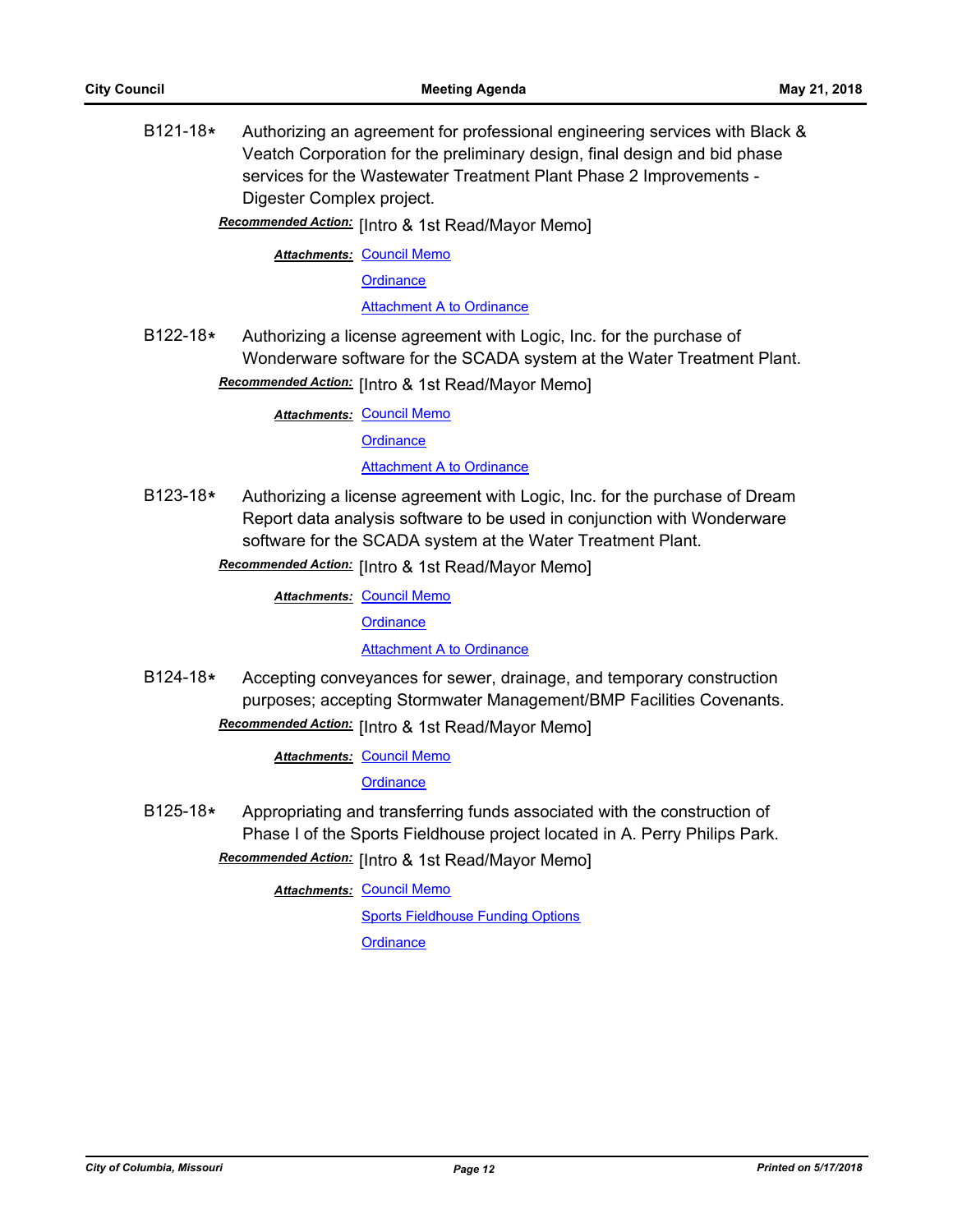B121-18**\*** Authorizing an agreement for professional engineering services with Black & Veatch Corporation for the preliminary design, final design and bid phase services for the Wastewater Treatment Plant Phase 2 Improvements - Digester Complex project.

Recommended Action: [Intro & 1st Read/Mayor Memo]

**Attachments: [Council Memo](http://gocolumbiamo.legistar.com/gateway.aspx?M=F&ID=2d309b7b-8196-4c61-8db2-32be2188bc48.docx)** 

**[Ordinance](http://gocolumbiamo.legistar.com/gateway.aspx?M=F&ID=aa750193-5b9f-4e6d-aba0-5e4873e51043.doc)** 

[Attachment A to Ordinance](http://gocolumbiamo.legistar.com/gateway.aspx?M=F&ID=07849ed9-ea63-495f-b797-3a48a5a9d0f3.pdf)

B122-18**\*** Authorizing a license agreement with Logic, Inc. for the purchase of Wonderware software for the SCADA system at the Water Treatment Plant.

# Recommended Action: [Intro & 1st Read/Mayor Memo]

**Attachments: [Council Memo](http://gocolumbiamo.legistar.com/gateway.aspx?M=F&ID=18637d6a-6dd2-4524-aaa6-a24933f048f2.docx)** 

**[Ordinance](http://gocolumbiamo.legistar.com/gateway.aspx?M=F&ID=90615f02-271c-4f2b-9144-3e7005945595.doc)** 

### [Attachment A to Ordinance](http://gocolumbiamo.legistar.com/gateway.aspx?M=F&ID=7b786db2-3d6a-47f6-8ae3-87e27891baa8.pdf)

B123-18**\*** Authorizing a license agreement with Logic, Inc. for the purchase of Dream Report data analysis software to be used in conjunction with Wonderware software for the SCADA system at the Water Treatment Plant.

Recommended Action: [Intro & 1st Read/Mayor Memo]

**Attachments: [Council Memo](http://gocolumbiamo.legistar.com/gateway.aspx?M=F&ID=f58e9d28-094f-449a-86b1-98dd3d37c9fc.docx)** 

**[Ordinance](http://gocolumbiamo.legistar.com/gateway.aspx?M=F&ID=283389eb-f929-437b-b989-ba42e69ca92e.doc)** 

**[Attachment A to Ordinance](http://gocolumbiamo.legistar.com/gateway.aspx?M=F&ID=580198db-a228-40d0-9b0c-bf9f2bb20b9e.pdf)** 

B124-18**\*** Accepting conveyances for sewer, drainage, and temporary construction purposes; accepting Stormwater Management/BMP Facilities Covenants. **Recommended Action:** [Intro & 1st Read/Mayor Memo]

**Attachments: [Council Memo](http://gocolumbiamo.legistar.com/gateway.aspx?M=F&ID=788bf74a-469d-4762-b77f-3b248f2e852b.docx)** 

**[Ordinance](http://gocolumbiamo.legistar.com/gateway.aspx?M=F&ID=332a981d-2c4b-4bf9-aceb-c3618fb300cb.doc)** 

B125-18**\*** Appropriating and transferring funds associated with the construction of Phase I of the Sports Fieldhouse project located in A. Perry Philips Park.

Recommended Action: [Intro & 1st Read/Mayor Memo]

**Attachments: [Council Memo](http://gocolumbiamo.legistar.com/gateway.aspx?M=F&ID=86cc96a4-46af-48bb-9fd0-0b2bc7e28e54.docx)** 

[Sports Fieldhouse Funding Options](http://gocolumbiamo.legistar.com/gateway.aspx?M=F&ID=b89b589c-0f7e-4561-899b-d689c1ff72a0.docx)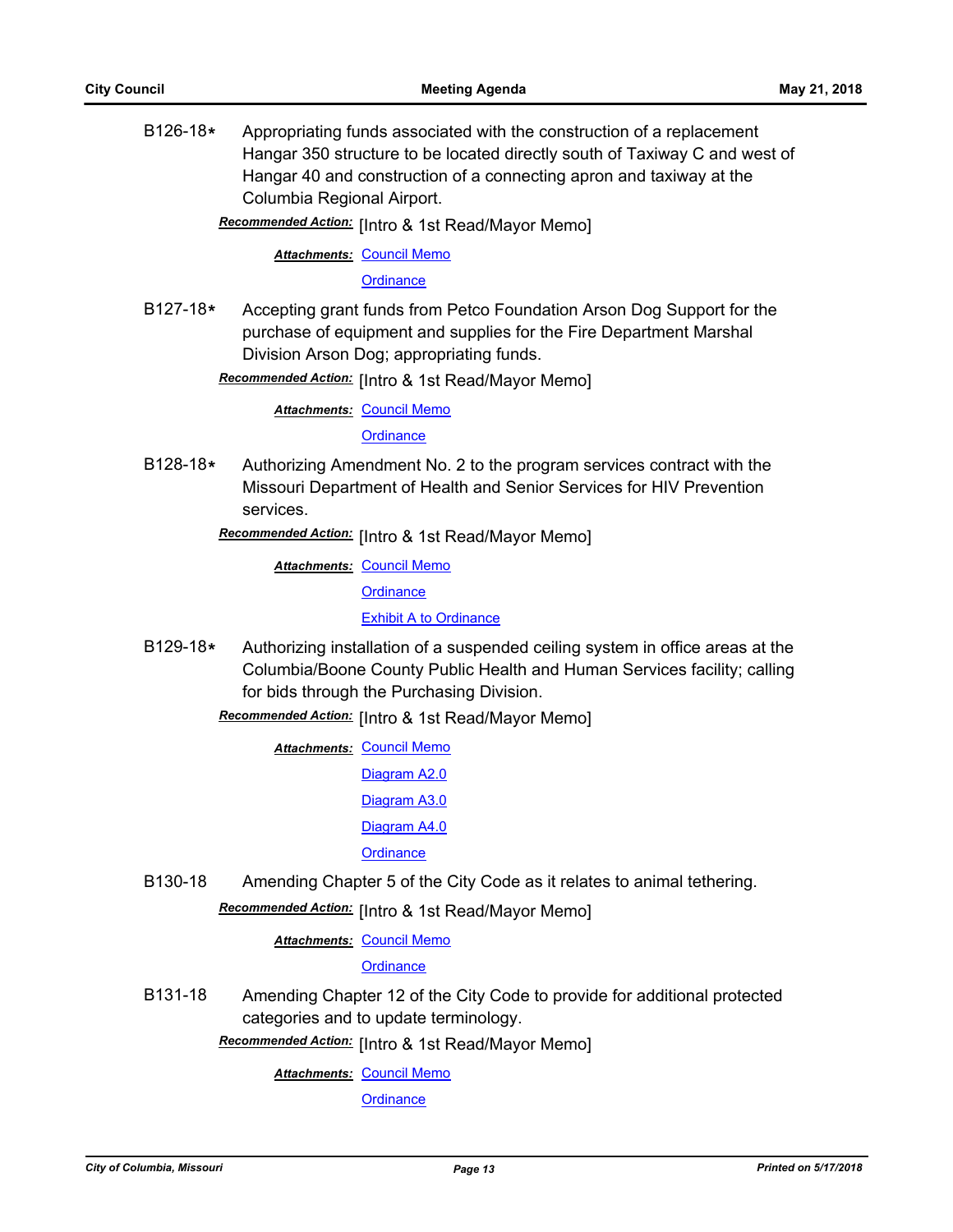B126-18**\*** Appropriating funds associated with the construction of a replacement Hangar 350 structure to be located directly south of Taxiway C and west of Hangar 40 and construction of a connecting apron and taxiway at the Columbia Regional Airport.

Recommended Action: [Intro & 1st Read/Mayor Memo]

### **Attachments: [Council Memo](http://gocolumbiamo.legistar.com/gateway.aspx?M=F&ID=77ea650f-5de0-476e-ae1e-b4c0a6aae087.docx)**

#### **[Ordinance](http://gocolumbiamo.legistar.com/gateway.aspx?M=F&ID=75f95167-a9bd-40dd-abb2-9035b2cd1386.doc)**

B127-18**\*** Accepting grant funds from Petco Foundation Arson Dog Support for the purchase of equipment and supplies for the Fire Department Marshal Division Arson Dog; appropriating funds.

**Recommended Action:** [Intro & 1st Read/Mayor Memo]

**Attachments: [Council Memo](http://gocolumbiamo.legistar.com/gateway.aspx?M=F&ID=2a5ce5a5-a7d9-43eb-b6eb-1c8ea6320b76.docx)** 

**[Ordinance](http://gocolumbiamo.legistar.com/gateway.aspx?M=F&ID=1d9a0c37-dcba-419a-a193-35bc5e49b4b1.doc)** 

B128-18**\*** Authorizing Amendment No. 2 to the program services contract with the Missouri Department of Health and Senior Services for HIV Prevention services.

Recommended Action: [Intro & 1st Read/Mayor Memo]

**Attachments: [Council Memo](http://gocolumbiamo.legistar.com/gateway.aspx?M=F&ID=124d6925-bb5b-4050-b97d-d38f62513a20.docx) [Ordinance](http://gocolumbiamo.legistar.com/gateway.aspx?M=F&ID=68ff8cea-739a-4aa4-b974-0e801fbf43c8.doc)** [Exhibit A to Ordinance](http://gocolumbiamo.legistar.com/gateway.aspx?M=F&ID=9bfe0d45-99c4-42f6-a709-62a3596dcb7e.pdf)

B129-18**\*** Authorizing installation of a suspended ceiling system in office areas at the Columbia/Boone County Public Health and Human Services facility; calling for bids through the Purchasing Division.

Recommended Action: [Intro & 1st Read/Mayor Memo]

- **Attachments: [Council Memo](http://gocolumbiamo.legistar.com/gateway.aspx?M=F&ID=633c4736-5d25-4148-b35b-4f195de89069.docx)** [Diagram A2.0](http://gocolumbiamo.legistar.com/gateway.aspx?M=F&ID=1204a344-0646-4810-a690-91bca67fd811.pdf) [Diagram A3.0](http://gocolumbiamo.legistar.com/gateway.aspx?M=F&ID=59ab012f-e3c5-463f-9687-5f984d3e8f9d.pdf) [Diagram A4.0](http://gocolumbiamo.legistar.com/gateway.aspx?M=F&ID=39c4fd21-d9e8-46ef-a31d-546ad2b59168.pdf) **[Ordinance](http://gocolumbiamo.legistar.com/gateway.aspx?M=F&ID=da730c63-c4f7-4948-82c3-0a3ebc8d629c.doc)**
- B130-18 Amending Chapter 5 of the City Code as it relates to animal tethering.

# **Recommended Action:** [Intro & 1st Read/Mayor Memo]

**Attachments: [Council Memo](http://gocolumbiamo.legistar.com/gateway.aspx?M=F&ID=14ee6213-3adf-425f-bfa7-0bb33d29b099.docx)** 

### **[Ordinance](http://gocolumbiamo.legistar.com/gateway.aspx?M=F&ID=d8d4d21f-e1fc-4e47-a20f-427e27d99dac.doc)**

B131-18 Amending Chapter 12 of the City Code to provide for additional protected categories and to update terminology.

Recommended Action: [Intro & 1st Read/Mayor Memo]

**Attachments: [Council Memo](http://gocolumbiamo.legistar.com/gateway.aspx?M=F&ID=3458c2e4-1d7a-4783-bac5-ed015e991115.docx)**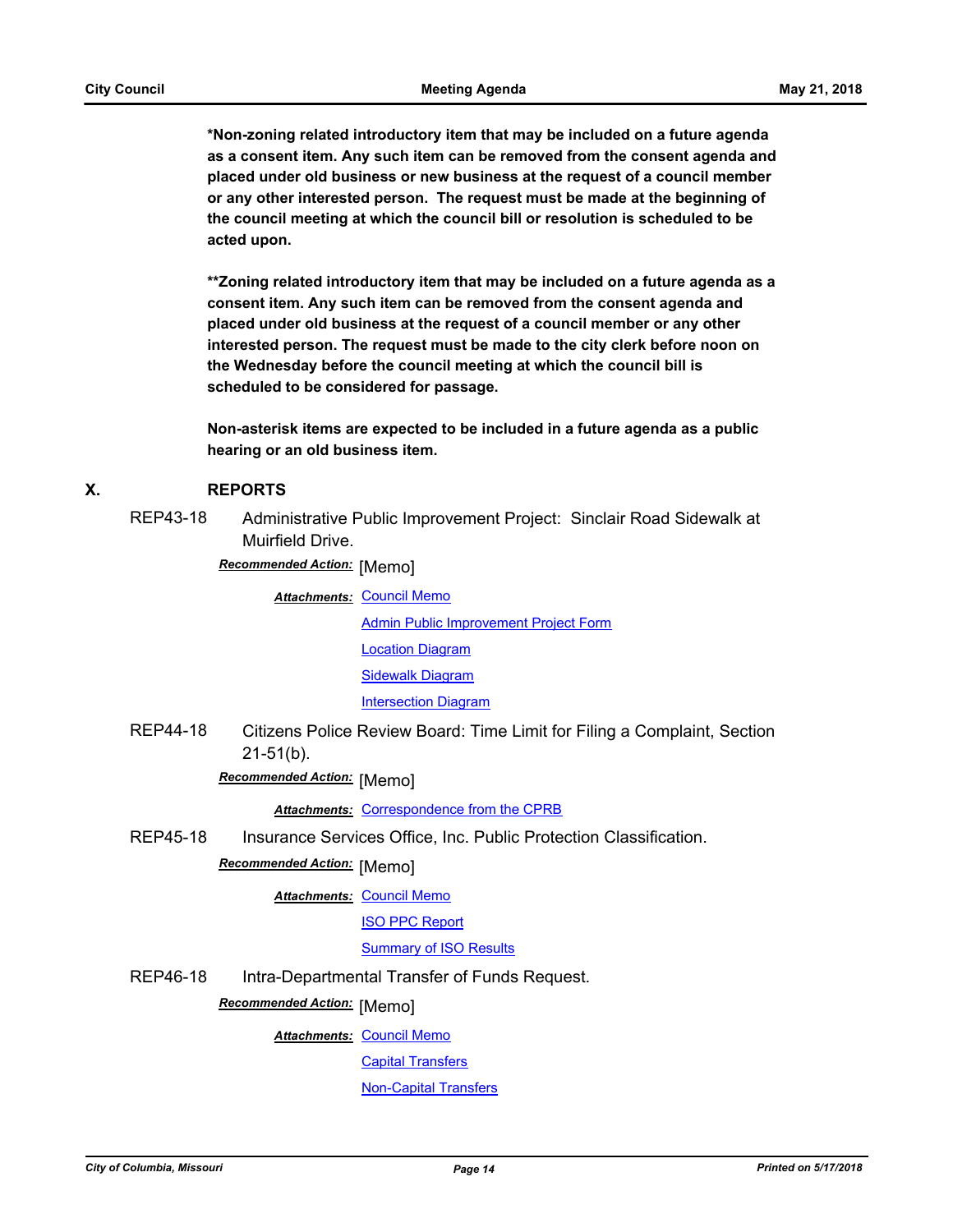**\*Non-zoning related introductory item that may be included on a future agenda as a consent item. Any such item can be removed from the consent agenda and placed under old business or new business at the request of a council member or any other interested person. The request must be made at the beginning of the council meeting at which the council bill or resolution is scheduled to be acted upon.** 

**\*\*Zoning related introductory item that may be included on a future agenda as a consent item. Any such item can be removed from the consent agenda and placed under old business at the request of a council member or any other interested person. The request must be made to the city clerk before noon on the Wednesday before the council meeting at which the council bill is scheduled to be considered for passage.**

**Non-asterisk items are expected to be included in a future agenda as a public hearing or an old business item.**

### **X. REPORTS**

REP43-18 Administrative Public Improvement Project: Sinclair Road Sidewalk at Muirfield Drive.

**Recommended Action:** [Memo]

**Attachments: [Council Memo](http://gocolumbiamo.legistar.com/gateway.aspx?M=F&ID=feb33b58-5c11-4d42-a081-e1f8be0add90.docx)** [Admin Public Improvement Project Form](http://gocolumbiamo.legistar.com/gateway.aspx?M=F&ID=ebf8f486-4a14-4d94-b13a-f35792271377.pdf) [Location Diagram](http://gocolumbiamo.legistar.com/gateway.aspx?M=F&ID=0a3bdb08-bc5a-4d32-afe7-392603cf8c55.pdf) **[Sidewalk Diagram](http://gocolumbiamo.legistar.com/gateway.aspx?M=F&ID=0a825177-846e-4553-97ed-e9c0ab4424ae.pdf)** [Intersection Diagram](http://gocolumbiamo.legistar.com/gateway.aspx?M=F&ID=74007dfa-aeae-45c1-b48e-4b310927b14e.pdf)

REP44-18 Citizens Police Review Board: Time Limit for Filing a Complaint, Section 21-51(b).

**Recommended Action:** [Memo]

*Attachments:* [Correspondence from the CPRB](http://gocolumbiamo.legistar.com/gateway.aspx?M=F&ID=7e820568-6323-4589-9071-1d83eec4911c.pdf)

REP45-18 Insurance Services Office, Inc. Public Protection Classification.

# **Recommended Action: [Memo]**

**Attachments: [Council Memo](http://gocolumbiamo.legistar.com/gateway.aspx?M=F&ID=fc7301ee-d289-4444-bad8-e4fb8182c2ca.docx)** 

[ISO PPC Report](http://gocolumbiamo.legistar.com/gateway.aspx?M=F&ID=d8b523bc-9a66-4b08-9960-829aec20080a.pdf)

### [Summary of ISO Results](http://gocolumbiamo.legistar.com/gateway.aspx?M=F&ID=63d66533-ecf6-4656-bb60-6f71e4fd9fe4.pdf)

REP46-18 Intra-Departmental Transfer of Funds Request.

## **Recommended Action: [Memo]**

**Attachments: [Council Memo](http://gocolumbiamo.legistar.com/gateway.aspx?M=F&ID=1e0e6805-c4a6-474a-8f02-39a4bfb210a9.docx)** 

[Capital Transfers](http://gocolumbiamo.legistar.com/gateway.aspx?M=F&ID=23349320-7afb-4cd8-b0ff-daa94c1e5cac.pdf)

[Non-Capital Transfers](http://gocolumbiamo.legistar.com/gateway.aspx?M=F&ID=4bc26e81-3672-4ac3-8966-9efc728382aa.pdf)